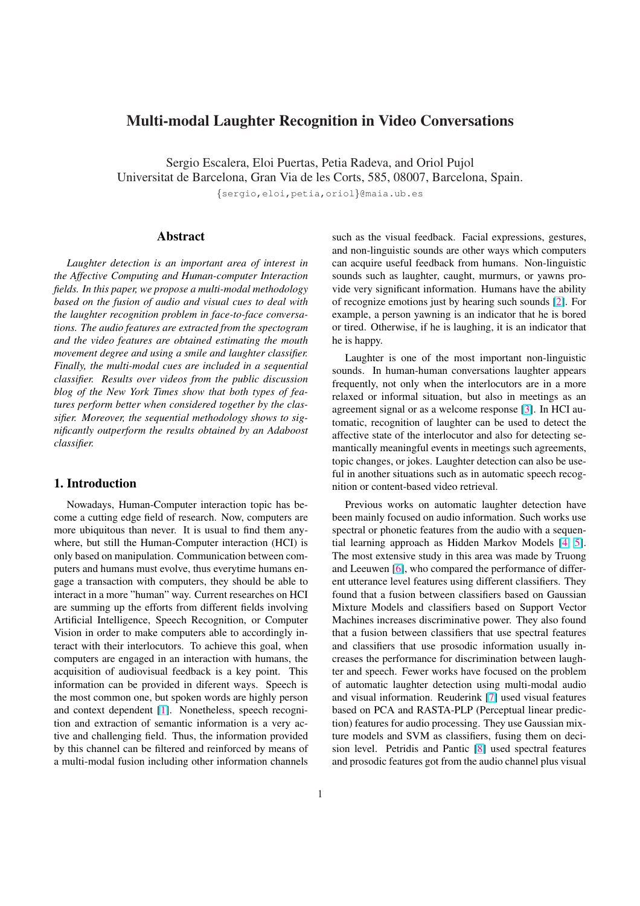# <span id="page-0-0"></span>Multi-modal Laughter Recognition in Video Conversations

Sergio Escalera, Eloi Puertas, Petia Radeva, and Oriol Pujol Universitat de Barcelona, Gran Via de les Corts, 585, 08007, Barcelona, Spain. {sergio,eloi,petia,oriol}@maia.ub.es

# Abstract

*Laughter detection is an important area of interest in the Affective Computing and Human-computer Interaction fields. In this paper, we propose a multi-modal methodology based on the fusion of audio and visual cues to deal with the laughter recognition problem in face-to-face conversations. The audio features are extracted from the spectogram and the video features are obtained estimating the mouth movement degree and using a smile and laughter classifier. Finally, the multi-modal cues are included in a sequential classifier. Results over videos from the public discussion blog of the New York Times show that both types of features perform better when considered together by the classifier. Moreover, the sequential methodology shows to significantly outperform the results obtained by an Adaboost classifier.*

#### 1. Introduction

Nowadays, Human-Computer interaction topic has become a cutting edge field of research. Now, computers are more ubiquitous than never. It is usual to find them anywhere, but still the Human-Computer interaction (HCI) is only based on manipulation. Communication between computers and humans must evolve, thus everytime humans engage a transaction with computers, they should be able to interact in a more "human" way. Current researches on HCI are summing up the efforts from different fields involving Artificial Intelligence, Speech Recognition, or Computer Vision in order to make computers able to accordingly interact with their interlocutors. To achieve this goal, when computers are engaged in an interaction with humans, the acquisition of audiovisual feedback is a key point. This information can be provided in diferent ways. Speech is the most common one, but spoken words are highly person and context dependent [1]. Nonetheless, speech recognition and extraction of semantic information is a very active and challenging field. Thus, the information provided by this channel can be filtered and reinforced by means of a multi-modal fusion in[clu](#page-5-0)ding other information channels such as the visual feedback. Facial expressions, gestures, and non-linguistic sounds are other ways which computers can acquire useful feedback from humans. Non-linguistic sounds such as laughter, caught, murmurs, or yawns provide very significant information. Humans have the ability of recognize emotions just by hearing such sounds [2]. For example, a person yawning is an indicator that he is bored or tired. Otherwise, if he is laughing, it is an indicator that he is happy.

Laughter is one of the most important non-li[ng](#page-5-0)uistic sounds. In human-human conversations laughter appears frequently, not only when the interlocutors are in a more relaxed or informal situation, but also in meetings as an agreement signal or as a welcome response [3]. In HCI automatic, recognition of laughter can be used to detect the affective state of the interlocutor and also for detecting semantically meaningful events in meetings such agreements, topic changes, or jokes. Laughter detection c[an](#page-5-0) also be useful in another situations such as in automatic speech recognition or content-based video retrieval.

Previous works on automatic laughter detection have been mainly focused on audio information. Such works use spectral or phonetic features from the audio with a sequential learning approach as Hidden Markov Models [4, 5]. The most extensive study in this area was made by Truong and Leeuwen [6], who compared the performance of different utterance level features using different classifiers. They found that a fusion between classifiers based on Ga[us](#page-5-0)s[ia](#page-5-0)n Mixture Models and classifiers based on Support Vector Machines incr[ea](#page-5-0)ses discriminative power. They also found that a fusion between classifiers that use spectral features and classifiers that use prosodic information usually increases the performance for discrimination between laughter and speech. Fewer works have focused on the problem of automatic laughter detection using multi-modal audio and visual information. Reuderink [7] used visual features based on PCA and RASTA-PLP (Perceptual linear prediction) features for audio processing. They use Gaussian mixture models and SVM as classifiers, fusing them on decision level. Petridis and Pantic [8] [u](#page-5-0)sed spectral features and prosodic features got from the audio channel plus visual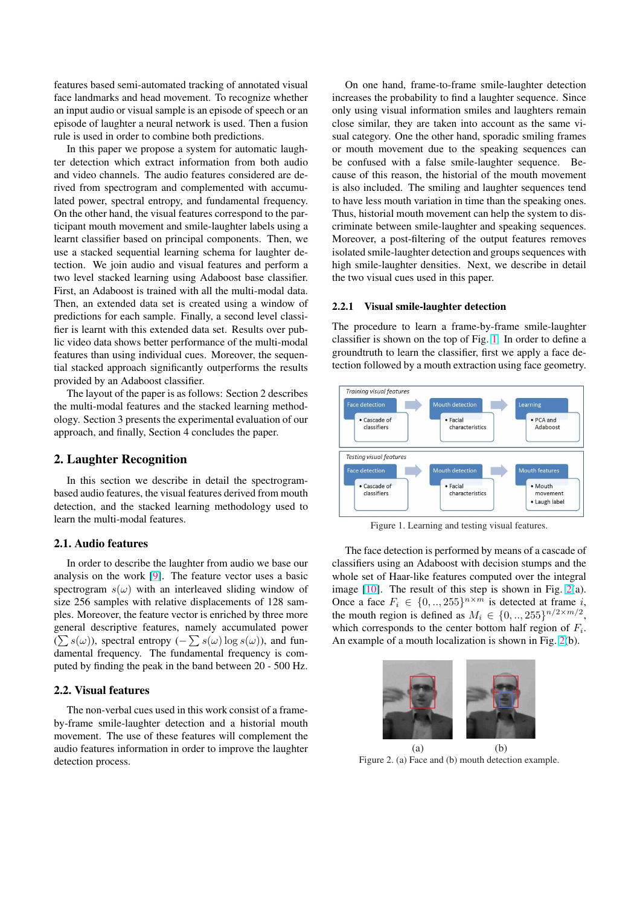<span id="page-1-0"></span>features based semi-automated tracking of annotated visual face landmarks and head movement. To recognize whether an input audio or visual sample is an episode of speech or an episode of laughter a neural network is used. Then a fusion rule is used in order to combine both predictions.

In this paper we propose a system for automatic laughter detection which extract information from both audio and video channels. The audio features considered are derived from spectrogram and complemented with accumulated power, spectral entropy, and fundamental frequency. On the other hand, the visual features correspond to the participant mouth movement and smile-laughter labels using a learnt classifier based on principal components. Then, we use a stacked sequential learning schema for laughter detection. We join audio and visual features and perform a two level stacked learning using Adaboost base classifier. First, an Adaboost is trained with all the multi-modal data. Then, an extended data set is created using a window of predictions for each sample. Finally, a second level classifier is learnt with this extended data set. Results over public video data shows better performance of the multi-modal features than using individual cues. Moreover, the sequential stacked approach significantly outperforms the results provided by an Adaboost classifier.

The layout of the paper is as follows: Section 2 describes the multi-modal features and the stacked learning methodology. Section 3 presents the experimental evaluation of our approach, and finally, Section 4 concludes the paper.

# 2. Laughter Recognition

In this section we describe in detail the spectrogrambased audio features, the visual features derived from mouth detection, and the stacked learning methodology used to learn the multi-modal features.

## 2.1. Audio features

In order to describe the laughter from audio we base our analysis on the work [9]. The feature vector uses a basic spectrogram  $s(\omega)$  with an interleaved sliding window of size 256 samples with relative displacements of 128 samples. Moreover, the feature vector is enriched by three more general descriptive fe[atu](#page-5-0)res, namely accumulated power general descriptive reatures, hallerly accumulated power<br>( $\sum s(\omega)$ ), spectral entropy ( $-\sum s(\omega)$ ) log  $s(\omega)$ ), and fundamental frequency. The fundamental frequency is computed by finding the peak in the band between 20 - 500 Hz.

#### 2.2. Visual features

The non-verbal cues used in this work consist of a frameby-frame smile-laughter detection and a historial mouth movement. The use of these features will complement the audio features information in order to improve the laughter detection process.

On one hand, frame-to-frame smile-laughter detection increases the probability to find a laughter sequence. Since only using visual information smiles and laughters remain close similar, they are taken into account as the same visual category. One the other hand, sporadic smiling frames or mouth movement due to the speaking sequences can be confused with a false smile-laughter sequence. Because of this reason, the historial of the mouth movement is also included. The smiling and laughter sequences tend to have less mouth variation in time than the speaking ones. Thus, historial mouth movement can help the system to discriminate between smile-laughter and speaking sequences. Moreover, a post-filtering of the output features removes isolated smile-laughter detection and groups sequences with high smile-laughter densities. Next, we describe in detail the two visual cues used in this paper.

#### 2.2.1 Visual smile-laughter detection

The procedure to learn a frame-by-frame smile-laughter classifier is shown on the top of Fig. 1. In order to define a groundtruth to learn the classifier, first we apply a face detection followed by a mouth extraction using face geometry.



Figure 1. Learning and testing visual features.

The face detection is performed by means of a cascade of classifiers using an Adaboost with decision stumps and the whole set of Haar-like features computed over the integral image  $[10]$ . The result of this step is shown in Fig. 2(a). Once a face  $F_i \in \{0, ..., 255\}^{n \times m}$  is detected at frame i, the mouth region is defined as  $M_i \in \{0,..,255\}^{n/2 \times m/2}$ , which corresponds to the center bottom half region of  $F_i$ . An exa[mpl](#page-5-0)e of a mouth localization is shown in Fig. 2(b).



 $(a)$  (b) Figure 2. (a) Face and (b) mouth detection example.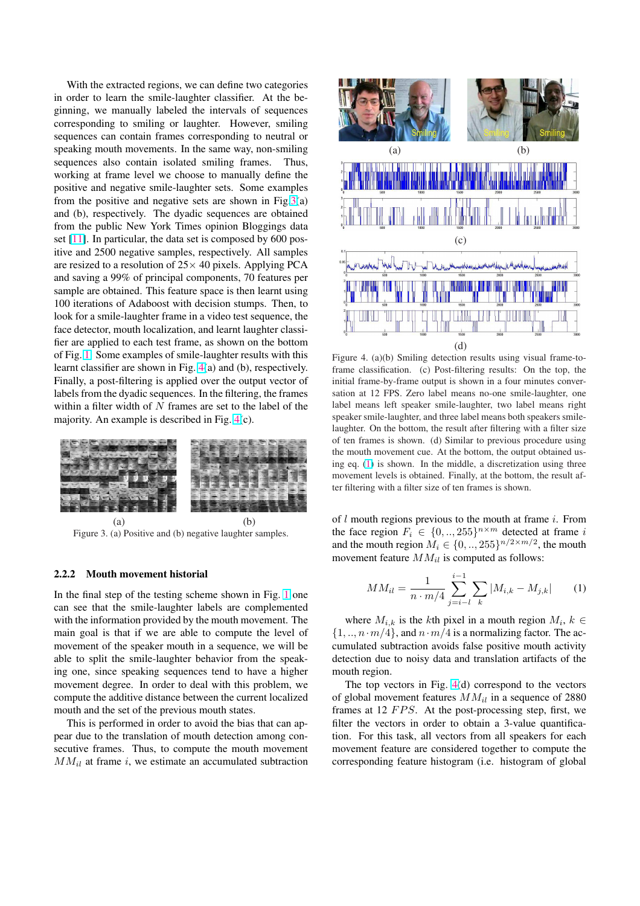<span id="page-2-0"></span>With the extracted regions, we can define two categories in order to learn the smile-laughter classifier. At the beginning, we manually labeled the intervals of sequences corresponding to smiling or laughter. However, smiling sequences can contain frames corresponding to neutral or speaking mouth movements. In the same way, non-smiling sequences also contain isolated smiling frames. Thus, working at frame level we choose to manually define the positive and negative smile-laughter sets. Some examples from the positive and negative sets are shown in Fig.3(a) and (b), respectively. The dyadic sequences are obtained from the public New York Times opinion Bloggings data set [11]. In particular, the data set is composed by 600 positive and 2500 negative samples, respectively. All samples are resized to a resolution of  $25 \times 40$  pixels. Applying PCA and saving a 99% of principal components, 70 features per sa[mple](#page-5-0) are obtained. This feature space is then learnt using 100 iterations of Adaboost with decision stumps. Then, to look for a smile-laughter frame in a video test sequence, the face detector, mouth localization, and learnt laughter classifier are applied to each test frame, as shown on the bottom of Fig. 1. Some examples of smile-laughter results with this learnt classifier are shown in Fig. 4(a) and (b), respectively. Finally, a post-filtering is applied over the output vector of labels from the dyadic sequences. In the filtering, the frames within [a](#page-1-0) filter width of  $N$  frames are set to the label of the majority. An example is described in Fig. 4(c).



Figure 3. (a) Positive and (b) negative laughter samples.

#### 2.2.2 Mouth movement historial

In the final step of the testing scheme shown in Fig. 1 one can see that the smile-laughter labels are complemented with the information provided by the mouth movement. The main goal is that if we are able to compute the level of movement of the speaker mouth in a sequence, we [wil](#page-1-0)l be able to split the smile-laughter behavior from the speaking one, since speaking sequences tend to have a higher movement degree. In order to deal with this problem, we compute the additive distance between the current localized mouth and the set of the previous mouth states.

This is performed in order to avoid the bias that can appear due to the translation of mouth detection among consecutive frames. Thus, to compute the mouth movement  $MM_{il}$  at frame i, we estimate an accumulated subtraction



Figure 4. (a)(b) Smiling detection results using visual frame-toframe classification. (c) Post-filtering results: On the top, the initial frame-by-frame output is shown in a four minutes conversation at 12 FPS. Zero label means no-one smile-laughter, one label means left speaker smile-laughter, two label means right speaker smile-laughter, and three label means both speakers smilelaughter. On the bottom, the result after filtering with a filter size of ten frames is shown. (d) Similar to previous procedure using the mouth movement cue. At the bottom, the output obtained using eq. (1) is shown. In the middle, a discretization using three movement levels is obtained. Finally, at the bottom, the result after filtering with a filter size of ten frames is shown.

of  $l$  mouth regions previous to the mouth at frame  $i$ . From the face region  $F_i \in \{0,..,255\}^{n \times m}$  detected at frame i and the mouth region  $M_i \in \{0, ..., 255\}^{n/2 \times m/2}$ , the mouth movement feature  $MM_{il}$  is computed as follows:

$$
MM_{il} = \frac{1}{n \cdot m/4} \sum_{j=i-l}^{i-1} \sum_{k} |M_{i,k} - M_{j,k}| \qquad (1)
$$

where  $M_{i,k}$  is the kth pixel in a mouth region  $M_i, k \in$  $\{1, ..., n \cdot m/4\}$ , and  $n \cdot m/4$  is a normalizing factor. The accumulated subtraction avoids false positive mouth activity detection due to noisy data and translation artifacts of the mouth region.

The top vectors in Fig. 4(d) correspond to the vectors of global movement features  $MM_{il}$  in a sequence of 2880 frames at 12  $FFS$ . At the post-processing step, first, we filter the vectors in order to obtain a 3-value quantification. For this task, all vectors from all speakers for each movement feature are considered together to compute the corresponding feature histogram (i.e. histogram of global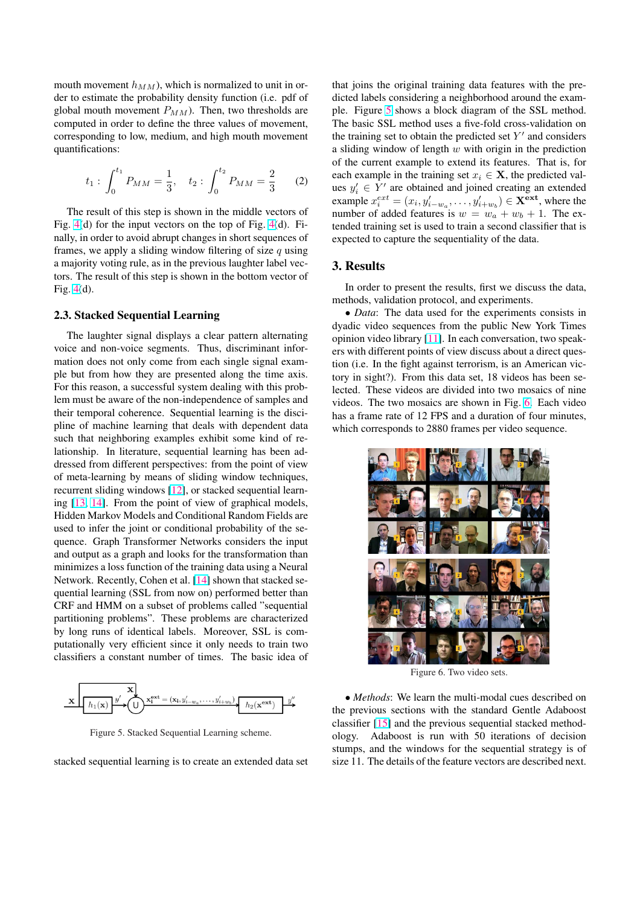<span id="page-3-0"></span>mouth movement  $h_{MM}$ ), which is normalized to unit in order to estimate the probability density function (i.e. pdf of global mouth movement  $P_{MM}$ ). Then, two thresholds are computed in order to define the three values of movement, corresponding to low, medium, and high mouth movement quantifications:

$$
t_1: \int_0^{t_1} P_{MM} = \frac{1}{3}, \quad t_2: \int_0^{t_2} P_{MM} = \frac{2}{3} \qquad (2)
$$

The result of this step is shown in the middle vectors of Fig. 4(d) for the input vectors on the top of Fig. 4(d). Finally, in order to avoid abrupt changes in short sequences of frames, we apply a sliding window filtering of size  $q$  using a majority voting rule, as in the previous laughter label vectors. [T](#page-2-0)he result of this step is shown in the bottom [ve](#page-2-0)ctor of Fig. 4(d).

#### 2.3. Stacked Sequential Learning

The laughter signal displays a clear pattern alternating voi[ce](#page-2-0) and non-voice segments. Thus, discriminant information does not only come from each single signal example but from how they are presented along the time axis. For this reason, a successful system dealing with this problem must be aware of the non-independence of samples and their temporal coherence. Sequential learning is the discipline of machine learning that deals with dependent data such that neighboring examples exhibit some kind of relationship. In literature, sequential learning has been addressed from different perspectives: from the point of view of meta-learning by means of sliding window techniques, recurrent sliding windows [12], or stacked sequential learning [13, 14]. From the point of view of graphical models, Hidden Markov Models and Conditional Random Fields are used to infer the joint or conditional probability of the sequence. Graph Transform[er N](#page-5-0)etworks considers the input and [output a](#page-5-0)s a graph and looks for the transformation than minimizes a loss function of the training data using a Neural Network. Recently, Cohen et al. [14] shown that stacked sequential learning (SSL from now on) performed better than CRF and HMM on a subset of problems called "sequential partitioning problems". These problems are characterized by long runs of identical labels[. M](#page-5-0)oreover, SSL is computationally very efficient since it only needs to train two classifiers a constant number of times. The basic idea of



Figure 5. Stacked Sequential Learning scheme.

stacked sequential learning is to create an extended data set

that joins the original training data features with the predicted labels considering a neighborhood around the example. Figure 5 shows a block diagram of the SSL method. The basic SSL method uses a five-fold cross-validation on the training set to obtain the predicted set  $Y'$  and considers a sliding window of length  $w$  with origin in the prediction of the current example to extend its features. That is, for each example in the training set  $x_i \in \mathbf{X}$ , the predicted values  $y_i' \in Y'$  are obtained and joined creating an extended example  $x_i^{ext} = (x_i, y_{i-w_a}', \dots, y_{i+w_b}') \in \mathbf{X}^{\textbf{ext}}$ , where the number of added features is  $w = w_a + w_b + 1$ . The extended training set is used to train a second classifier that is expected to capture the sequentiality of the data.

## 3. Results

In order to present the results, first we discuss the data, methods, validation protocol, and experiments.

• *Data*: The data used for the experiments consists in dyadic video sequences from the public New York Times opinion video library [11]. In each conversation, two speakers with different points of view discuss about a direct question (i.e. In the fight against terrorism, is an American victory in sight?). From this data set, 18 videos has been selected. These videos [are](#page-5-0) divided into two mosaics of nine videos. The two mosaics are shown in Fig. 6. Each video has a frame rate of 12 FPS and a duration of four minutes, which corresponds to 2880 frames per video sequence.



Figure 6. Two video sets.

• *Methods*: We learn the multi-modal cues described on the previous sections with the standard Gentle Adaboost classifier [15] and the previous sequential stacked methodology. Adaboost is run with 50 iterations of decision stumps, and the windows for the sequential strategy is of size 11. The details of the feature vectors are described next.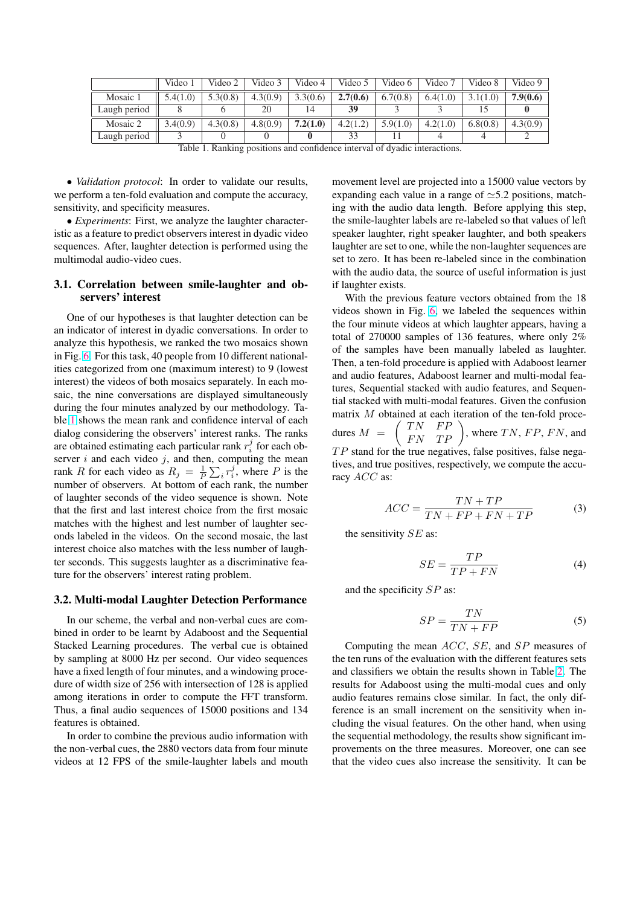| Video 1  | Video 2  | Video 3  | Video 4  | Video 5  | Video 6                                                                          | Video <sup>-</sup> | Video 8  | Video 9  |
|----------|----------|----------|----------|----------|----------------------------------------------------------------------------------|--------------------|----------|----------|
| 5.4(1.0) | 5.3(0.8) | 4.3(0.9) | 3.3(0.6) | 2.7(0.6) | 6.7(0.8)                                                                         | 6.4(1.0)           | 3.1(1.0) | 7.9(0.6) |
|          |          | 20       |          |          |                                                                                  |                    |          |          |
| 3.4(0.9) | 4.3(0.8) | 4.8(0.9) | 7.2(1.0) | 4.2(1.2) | 5.9(1.0)                                                                         | 4.2(1.0)           | 6.8(0.8) | 4.3(0.9) |
|          |          |          |          |          |                                                                                  |                    |          |          |
|          |          |          |          |          | $\mathbf{m}$ it is the set of the set of $\mathbf{m}$ is the set of $\mathbf{m}$ |                    |          |          |

| Table 1. Ranking positions and confidence interval of dyadic interactions. |  |
|----------------------------------------------------------------------------|--|
|----------------------------------------------------------------------------|--|

• *Validation protocol*: In order to validate our results, we perform a ten-fold evaluation and compute the accuracy, sensitivity, and specificity measures.

• *Experiments*: First, we analyze the laughter characteristic as a feature to predict observers interest in dyadic video sequences. After, laughter detection is performed using the multimodal audio-video cues.

# 3.1. Correlation between smile-laughter and observers' interest

One of our hypotheses is that laughter detection can be an indicator of interest in dyadic conversations. In order to analyze this hypothesis, we ranked the two mosaics shown in Fig. 6. For this task, 40 people from 10 different nationalities categorized from one (maximum interest) to 9 (lowest interest) the videos of both mosaics separately. In each mosaic, the nine conversations are displayed simultaneously during [th](#page-3-0)e four minutes analyzed by our methodology. Table 1 shows the mean rank and confidence interval of each dialog considering the observers' interest ranks. The ranks are obtained estimating each particular rank  $r_i^j$  for each observer *i* and each video *j*, and then, computing the mean rank R for each video as  $R_j = \frac{1}{P} \sum_i r_i^j$ , where P is the number of observers. At bottom of each rank, the number of laughter seconds of the video sequence is shown. Note that the first and last interest choice from the first mosaic matches with the highest and lest number of laughter seconds labeled in the videos. On the second mosaic, the last interest choice also matches with the less number of laughter seconds. This suggests laughter as a discriminative feature for the observers' interest rating problem.

#### 3.2. Multi-modal Laughter Detection Performance

In our scheme, the verbal and non-verbal cues are combined in order to be learnt by Adaboost and the Sequential Stacked Learning procedures. The verbal cue is obtained by sampling at 8000 Hz per second. Our video sequences have a fixed length of four minutes, and a windowing procedure of width size of 256 with intersection of 128 is applied among iterations in order to compute the FFT transform. Thus, a final audio sequences of 15000 positions and 134 features is obtained.

In order to combine the previous audio information with the non-verbal cues, the 2880 vectors data from four minute videos at 12 FPS of the smile-laughter labels and mouth movement level are projected into a 15000 value vectors by expanding each value in a range of  $\simeq$ 5.2 positions, matching with the audio data length. Before applying this step, the smile-laughter labels are re-labeled so that values of left speaker laughter, right speaker laughter, and both speakers laughter are set to one, while the non-laughter sequences are set to zero. It has been re-labeled since in the combination with the audio data, the source of useful information is just if laughter exists.

With the previous feature vectors obtained from the 18 videos shown in Fig. 6, we labeled the sequences within the four minute videos at which laughter appears, having a total of 270000 samples of 136 features, where only 2% of the samples have been manually labeled as laughter. Then, a ten-fold proce[du](#page-3-0)re is applied with Adaboost learner and audio features, Adaboost learner and multi-modal features, Sequential stacked with audio features, and Sequential stacked with multi-modal features. Given the confusion matrix M obtained at each iteration of the ten-fold procedures  $M =$ ed at each iteration of the ten-fold proce-<br> $\begin{pmatrix} TN & FP \\ FN & TP \end{pmatrix}$ , where  $TN$ ,  $FP$ ,  $FN$ , and  $TP$  stand for the true negatives, false positives, false negatives, and true positives, respectively, we compute the accuracy *ACC* as:

$$
ACC = \frac{TN + TP}{TN + FP + FN + TP}
$$
 (3)

the sensitivity  $SE$  as:

$$
SE = \frac{TP}{TP + FN} \tag{4}
$$

and the specificity SP as:

$$
SP = \frac{TN}{TN + FP}
$$
 (5)

Computing the mean ACC, SE, and SP measures of the ten runs of the evaluation with the different features sets and classifiers we obtain the results shown in Table 2. The results for Adaboost using the multi-modal cues and only audio features remains close similar. In fact, the only difference is an small increment on the sensitivity when including the visual features. On the other hand, whe[n u](#page-5-0)sing the sequential methodology, the results show significant improvements on the three measures. Moreover, one can see that the video cues also increase the sensitivity. It can be